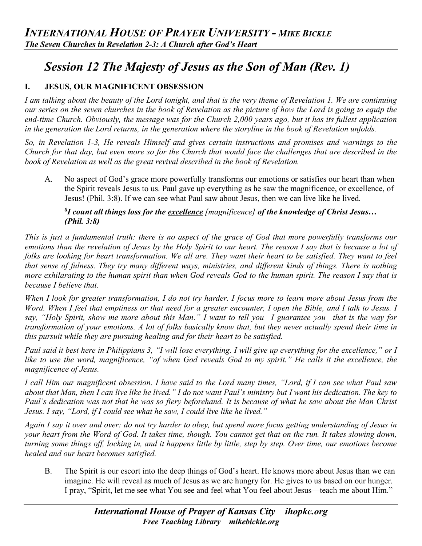# *Session 12 The Majesty of Jesus as the Son of Man (Rev. 1)*

# **I. JESUS, OUR MAGNIFICENT OBSESSION**

*I am talking about the beauty of the Lord tonight, and that is the very theme of Revelation 1. We are continuing our series on the seven churches in the book of Revelation as the picture of how the Lord is going to equip the end-time Church. Obviously, the message was for the Church 2,000 years ago, but it has its fullest application in the generation the Lord returns, in the generation where the storyline in the book of Revelation unfolds.*

*So, in Revelation 1-3, He reveals Himself and gives certain instructions and promises and warnings to the Church for that day, but even more so for the Church that would face the challenges that are described in the book of Revelation as well as the great revival described in the book of Revelation.*

A. No aspect of God's grace more powerfully transforms our emotions or satisfies our heart than when the Spirit reveals Jesus to us. Paul gave up everything as he saw the magnificence, or excellence, of Jesus! (Phil. 3:8). If we can see what Paul saw about Jesus, then we can live like he lived.

# *8 I count all things loss for the excellence [magnificence] of the knowledge of Christ Jesus… (Phil. 3:8)*

*This is just a fundamental truth: there is no aspect of the grace of God that more powerfully transforms our emotions than the revelation of Jesus by the Holy Spirit to our heart. The reason I say that is because a lot of folks are looking for heart transformation. We all are. They want their heart to be satisfied. They want to feel that sense of fulness. They try many different ways, ministries, and different kinds of things. There is nothing more exhilarating to the human spirit than when God reveals God to the human spirit. The reason I say that is because I believe that.*

*When I look for greater transformation, I do not try harder. I focus more to learn more about Jesus from the Word. When I feel that emptiness or that need for a greater encounter, I open the Bible, and I talk to Jesus. I say, "Holy Spirit, show me more about this Man." I want to tell you—I guarantee you—that is the way for transformation of your emotions. A lot of folks basically know that, but they never actually spend their time in this pursuit while they are pursuing healing and for their heart to be satisfied.*

*Paul said it best here in Philippians 3, "I will lose everything. I will give up everything for the excellence," or I like to use the word, magnificence, "of when God reveals God to my spirit." He calls it the excellence, the magnificence of Jesus.* 

*I call Him our magnificent obsession. I have said to the Lord many times, "Lord, if I can see what Paul saw about that Man, then I can live like he lived." I do not want Paul's ministry but I want his dedication. The key to Paul's dedication was not that he was so fiery beforehand. It is because of what he saw about the Man Christ Jesus. I say, "Lord, if I could see what he saw, I could live like he lived."*

*Again I say it over and over: do not try harder to obey, but spend more focus getting understanding of Jesus in your heart from the Word of God. It takes time, though. You cannot get that on the run. It takes slowing down, turning some things off, locking in, and it happens little by little, step by step. Over time, our emotions become healed and our heart becomes satisfied.* 

B. The Spirit is our escort into the deep things of God's heart. He knows more about Jesus than we can imagine. He will reveal as much of Jesus as we are hungry for. He gives to us based on our hunger. I pray, "Spirit, let me see what You see and feel what You feel about Jesus—teach me about Him."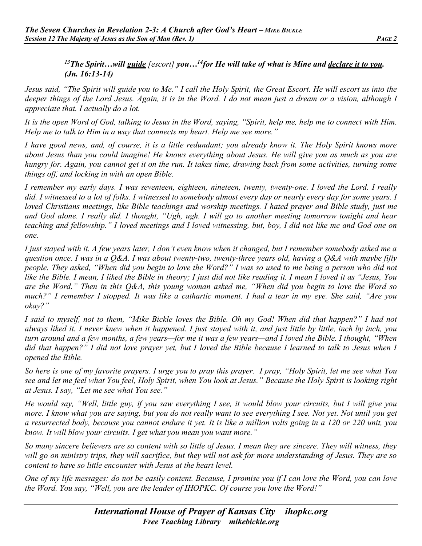## *13The Spirit…will guide [escort] you…14for He will take of what is Mine and declare it to you. (Jn. 16:13-14)*

*Jesus said, "The Spirit will guide you to Me." I call the Holy Spirit, the Great Escort. He will escort us into the deeper things of the Lord Jesus. Again, it is in the Word. I do not mean just a dream or a vision, although I appreciate that. I actually do a lot.*

*It is the open Word of God, talking to Jesus in the Word, saying, "Spirit, help me, help me to connect with Him. Help me to talk to Him in a way that connects my heart. Help me see more."*

*I have good news, and, of course, it is a little redundant; you already know it. The Holy Spirit knows more about Jesus than you could imagine! He knows everything about Jesus. He will give you as much as you are hungry for. Again, you cannot get it on the run. It takes time, drawing back from some activities, turning some things off, and locking in with an open Bible.*

*I remember my early days. I was seventeen, eighteen, nineteen, twenty, twenty-one. I loved the Lord. I really did. I witnessed to a lot of folks. I witnessed to somebody almost every day or nearly every day for some years. I loved Christians meetings, like Bible teachings and worship meetings. I hated prayer and Bible study, just me and God alone. I really did. I thought, "Ugh, ugh. I will go to another meeting tomorrow tonight and hear teaching and fellowship." I loved meetings and I loved witnessing, but, boy, I did not like me and God one on one.*

*I just stayed with it. A few years later, I don't even know when it changed, but I remember somebody asked me a question once. I was in a Q&A. I was about twenty-two, twenty-three years old, having a Q&A with maybe fifty people. They asked, "When did you begin to love the Word?" I was so used to me being a person who did not like the Bible. I mean, I liked the Bible in theory; I just did not like reading it. I mean I loved it as "Jesus, You are the Word." Then in this Q&A, this young woman asked me, "When did you begin to love the Word so much?" I remember I stopped. It was like a cathartic moment. I had a tear in my eye. She said, "Are you okay?"*

*I said to myself, not to them, "Mike Bickle loves the Bible. Oh my God! When did that happen?" I had not always liked it. I never knew when it happened. I just stayed with it, and just little by little, inch by inch, you turn around and a few months, a few years—for me it was a few years—and I loved the Bible. I thought, "When did that happen?" I did not love prayer yet, but I loved the Bible because I learned to talk to Jesus when I opened the Bible.*

*So here is one of my favorite prayers. I urge you to pray this prayer. I pray, "Holy Spirit, let me see what You see and let me feel what You feel, Holy Spirit, when You look at Jesus." Because the Holy Spirit is looking right at Jesus. I say, "Let me see what You see."*

*He would say, "Well, little guy, if you saw everything I see, it would blow your circuits, but I will give you more. I know what you are saying, but you do not really want to see everything I see. Not yet. Not until you get a resurrected body, because you cannot endure it yet. It is like a million volts going in a 120 or 220 unit, you know. It will blow your circuits. I get what you mean you want more."*

*So many sincere believers are so content with so little of Jesus. I mean they are sincere. They will witness, they will go on ministry trips, they will sacrifice, but they will not ask for more understanding of Jesus. They are so content to have so little encounter with Jesus at the heart level.*

*One of my life messages: do not be easily content. Because, I promise you if I can love the Word, you can love the Word. You say, "Well, you are the leader of IHOPKC. Of course you love the Word!"*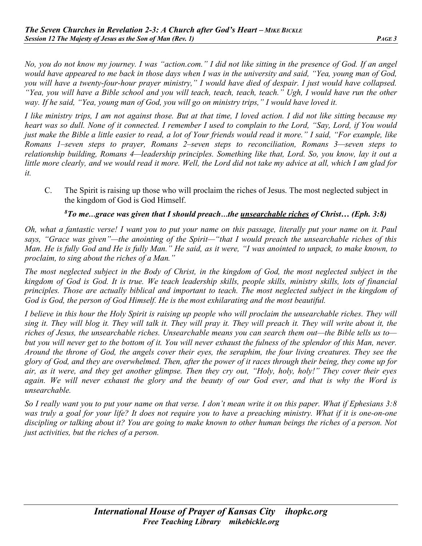*No, you do not know my journey. I was "action.com." I did not like sitting in the presence of God. If an angel would have appeared to me back in those days when I was in the university and said, "Yea, young man of God, you will have a twenty-four-hour prayer ministry," I would have died of despair. I just would have collapsed. "Yea, you will have a Bible school and you will teach, teach, teach, teach." Ugh, I would have run the other way. If he said, "Yea, young man of God, you will go on ministry trips," I would have loved it.* 

*I like ministry trips, I am not against those. But at that time, I loved action. I did not like sitting because my heart was so dull. None of it connected. I remember I used to complain to the Lord, "Say, Lord, if You would just make the Bible a little easier to read, a lot of Your friends would read it more." I said, "For example, like Romans 1–seven steps to prayer, Romans 2–seven steps to reconciliation, Romans 3—seven steps to relationship building, Romans 4—leadership principles. Something like that, Lord. So, you know, lay it out a little more clearly, and we would read it more. Well, the Lord did not take my advice at all, which I am glad for it.*

C. The Spirit is raising up those who will proclaim the riches of Jesus. The most neglected subject in the kingdom of God is God Himself.

## *8 To me…grace was given that I should preach…the unsearchable riches of Christ… (Eph. 3:8)*

*Oh, what a fantastic verse! I want you to put your name on this passage, literally put your name on it. Paul says, "Grace was given"—the anointing of the Spirit—"that I would preach the unsearchable riches of this Man. He is fully God and He is fully Man." He said, as it were, "I was anointed to unpack, to make known, to proclaim, to sing about the riches of a Man."*

*The most neglected subject in the Body of Christ, in the kingdom of God, the most neglected subject in the kingdom of God is God. It is true. We teach leadership skills, people skills, ministry skills, lots of financial principles. Those are actually biblical and important to teach. The most neglected subject in the kingdom of God is God, the person of God Himself. He is the most exhilarating and the most beautiful.*

*I believe in this hour the Holy Spirit is raising up people who will proclaim the unsearchable riches. They will sing it. They will blog it. They will talk it. They will pray it. They will preach it. They will write about it, the riches of Jesus, the unsearchable riches. Unsearchable means you can search them out—the Bible tells us to but you will never get to the bottom of it. You will never exhaust the fulness of the splendor of this Man, never. Around the throne of God, the angels cover their eyes, the seraphim, the four living creatures. They see the glory of God, and they are overwhelmed. Then, after the power of it races through their being, they come up for air, as it were, and they get another glimpse. Then they cry out, "Holy, holy, holy!" They cover their eyes again. We will never exhaust the glory and the beauty of our God ever, and that is why the Word is unsearchable.*

*So I really want you to put your name on that verse. I don't mean write it on this paper. What if Ephesians 3:8 was truly a goal for your life? It does not require you to have a preaching ministry. What if it is one-on-one discipling or talking about it? You are going to make known to other human beings the riches of a person. Not just activities, but the riches of a person.*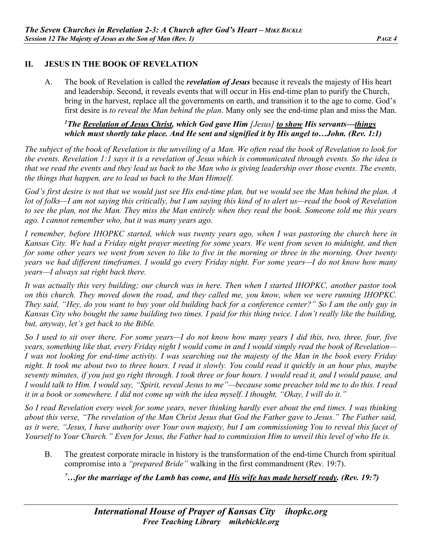## **II. JESUS IN THE BOOK OF REVELATION**

A. The book of Revelation is called the *revelation of Jesus* because it reveals the majesty of His heart and leadership. Second, it reveals events that will occur in His end-time plan to purify the Church, bring in the harvest, replace all the governments on earth, and transition it to the age to come. God's first desire is *to reveal the Man behind the plan*. Many only see the end-time plan and miss the Man.

## *1 The Revelation of Jesus Christ, which God gave Him [Jesus] to show His servants—things which must shortly take place. And He sent and signified it by His angel to…John. (Rev. 1:1)*

*The subject of the book of Revelation is the unveiling of a Man. We often read the book of Revelation to look for the events. Revelation 1:1 says it is a revelation of Jesus which is communicated through events. So the idea is that we read the events and they lead us back to the Man who is giving leadership over those events. The events, the things that happen, are to lead us back to the Man Himself.*

*God's first desire is not that we would just see His end-time plan, but we would see the Man behind the plan. A lot of folks—I am not saying this critically, but I am saying this kind of to alert us—read the book of Revelation to see the plan, not the Man. They miss the Man entirely when they read the book. Someone told me this years ago. I cannot remember who, but it was many years ago.* 

*I remember, before IHOPKC started, which was twenty years ago, when I was pastoring the church here in Kansas City. We had a Friday night prayer meeting for some years. We went from seven to midnight, and then for some other years we went from seven to like to five in the morning or three in the morning. Over twenty years we had different timeframes. I would go every Friday night. For some years—I do not know how many years—I always sat right back there.*

*It was actually this very building; our church was in here. Then when I started IHOPKC, another pastor took on this church. They moved down the road, and they called me, you know, when we were running IHOPKC. They said, "Hey, do you want to buy your old building back for a conference center?" So I am the only guy in Kansas City who bought the same building two times. I paid for this thing twice. I don't really like the building, but, anyway, let's get back to the Bible.*

*So I used to sit over there. For some years—I do not know how many years I did this, two, three, four, five years, something like that, every Friday night I would come in and I would simply read the book of Revelation— I was not looking for end-time activity. I was searching out the majesty of the Man in the book every Friday night. It took me about two to three hours. I read it slowly. You could read it quickly in an hour plus, maybe seventy minutes, if you just go right through. I took three or four hours. I would read it, and I would pause, and I would talk to Him. I would say, "Spirit, reveal Jesus to me"—because some preacher told me to do this. I read it in a book or somewhere. I did not come up with the idea myself. I thought, "Okay, I will do it."*

*So I read Revelation every week for some years, never thinking hardly ever about the end times. I was thinking about this verse, "The revelation of the Man Christ Jesus that God the Father gave to Jesus." The Father said, as it were, "Jesus, I have authority over Your own majesty, but I am commissioning You to reveal this facet of Yourself to Your Church." Even for Jesus, the Father had to commission Him to unveil this level of who He is.* 

B. The greatest corporate miracle in history is the transformation of the end-time Church from spiritual compromise into a *"prepared Bride"* walking in the first commandment (Rev. 19:7).

<sup>7</sup>...for the marriage of the Lamb has come, and **His wife has made herself ready.** (Rev. 19:7)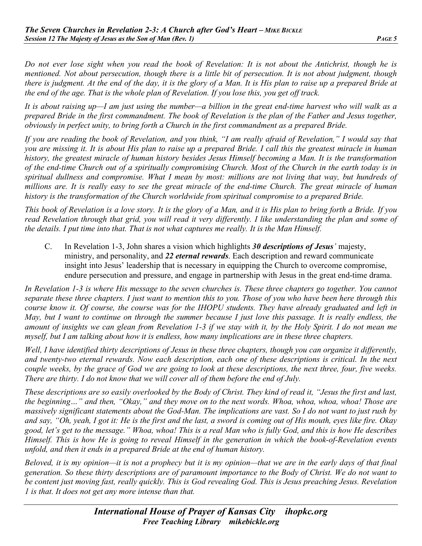*Do not ever lose sight when you read the book of Revelation: It is not about the Antichrist, though he is mentioned. Not about persecution, though there is a little bit of persecution. It is not about judgment, though there is judgment. At the end of the day, it is the glory of a Man. It is His plan to raise up a prepared Bride at the end of the age. That is the whole plan of Revelation. If you lose this, you get off track.*

*It is about raising up—I am just using the number—a billion in the great end-time harvest who will walk as a prepared Bride in the first commandment. The book of Revelation is the plan of the Father and Jesus together, obviously in perfect unity, to bring forth a Church in the first commandment as a prepared Bride.* 

*If you are reading the book of Revelation, and you think, "I am really afraid of Revelation," I would say that you are missing it. It is about His plan to raise up a prepared Bride. I call this the greatest miracle in human history, the greatest miracle of human history besides Jesus Himself becoming a Man. It is the transformation of the end-time Church out of a spiritually compromising Church. Most of the Church in the earth today is in spiritual dullness and compromise. What I mean by most: millions are not living that way, but hundreds of millions are. It is really easy to see the great miracle of the end-time Church. The great miracle of human history is the transformation of the Church worldwide from spiritual compromise to a prepared Bride.*

*This book of Revelation is a love story. It is the glory of a Man, and it is His plan to bring forth a Bride. If you read Revelation through that grid, you will read it very differently. I like understanding the plan and some of the details. I put time into that. That is not what captures me really. It is the Man Himself.* 

C. In Revelation 1-3, John shares a vision which highlights *30 descriptions of Jesus'* majesty, ministry, and personality, and *22 eternal rewards*. Each description and reward communicate insight into Jesus' leadership that is necessary in equipping the Church to overcome compromise, endure persecution and pressure, and engage in partnership with Jesus in the great end-time drama.

*In Revelation 1-3 is where His message to the seven churches is. These three chapters go together. You cannot separate these three chapters. I just want to mention this to you. Those of you who have been here through this course know it. Of course, the course was for the IHOPU students. They have already graduated and left in May, but I want to continue on through the summer because I just love this passage. It is really endless, the amount of insights we can glean from Revelation 1-3 if we stay with it, by the Holy Spirit. I do not mean me myself, but I am talking about how it is endless, how many implications are in these three chapters.*

*Well, I have identified thirty descriptions of Jesus in these three chapters, though you can organize it differently, and twenty-two eternal rewards. Now each description, each one of these descriptions is critical. In the next couple weeks, by the grace of God we are going to look at these descriptions, the next three, four, five weeks. There are thirty. I do not know that we will cover all of them before the end of July.*

*These descriptions are so easily overlooked by the Body of Christ. They kind of read it, "Jesus the first and last, the beginning…" and then, "Okay," and they move on to the next words. Whoa, whoa, whoa, whoa! Those are massively significant statements about the God-Man. The implications are vast. So I do not want to just rush by and say, "Oh, yeah, I got it: He is the first and the last, a sword is coming out of His mouth, eyes like fire. Okay good, let's get to the message." Whoa, whoa! This is a real Man who is fully God, and this is how He describes Himself. This is how He is going to reveal Himself in the generation in which the book-of-Revelation events unfold, and then it ends in a prepared Bride at the end of human history.* 

*Beloved, it is my opinion—it is not a prophecy but it is my opinion—that we are in the early days of that final generation. So these thirty descriptions are of paramount importance to the Body of Christ. We do not want to be content just moving fast, really quickly. This is God revealing God. This is Jesus preaching Jesus. Revelation 1 is that. It does not get any more intense than that.*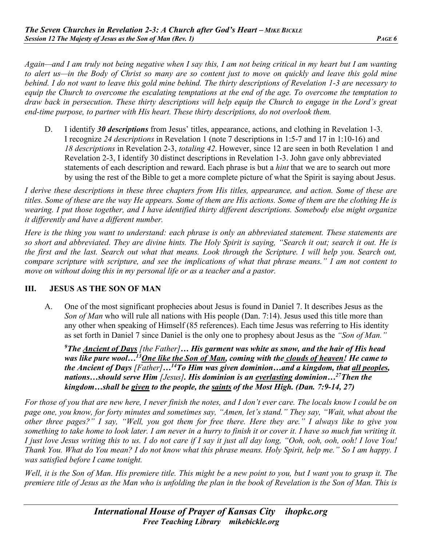*Again—and I am truly not being negative when I say this, I am not being critical in my heart but I am wanting to alert us—in the Body of Christ so many are so content just to move on quickly and leave this gold mine behind. I do not want to leave this gold mine behind. The thirty descriptions of Revelation 1-3 are necessary to equip the Church to overcome the escalating temptations at the end of the age. To overcome the temptation to draw back in persecution. These thirty descriptions will help equip the Church to engage in the Lord's great end-time purpose, to partner with His heart. These thirty descriptions, do not overlook them.*

D. I identify *30 descriptions* from Jesus' titles, appearance, actions, and clothing in Revelation 1-3. I recognize *24 descriptions* in Revelation 1 (note 7 descriptions in 1:5-7 and 17 in 1:10-16) and *18 descriptions* in Revelation 2-3, *totaling 42*. However, since 12 are seen in both Revelation 1 and Revelation 2-3, I identify 30 distinct descriptions in Revelation 1-3. John gave only abbreviated statements of each description and reward. Each phrase is but a *hint* that we are to search out more by using the rest of the Bible to get a more complete picture of what the Spirit is saying about Jesus.

*I derive these descriptions in these three chapters from His titles, appearance, and action. Some of these are titles. Some of these are the way He appears. Some of them are His actions. Some of them are the clothing He is wearing. I put those together, and I have identified thirty different descriptions. Somebody else might organize it differently and have a different number.*

*Here is the thing you want to understand: each phrase is only an abbreviated statement. These statements are so short and abbreviated. They are divine hints. The Holy Spirit is saying, "Search it out; search it out. He is the first and the last. Search out what that means. Look through the Scripture. I will help you. Search out, compare scripture with scripture, and see the implications of what that phrase means." I am not content to move on without doing this in my personal life or as a teacher and a pastor.*

### **III. JESUS AS THE SON OF MAN**

A. One of the most significant prophecies about Jesus is found in Daniel 7. It describes Jesus as the *Son of Man* who will rule all nations with His people (Dan. 7:14). Jesus used this title more than any other when speaking of Himself (85 references). Each time Jesus was referring to His identity as set forth in Daniel 7 since Daniel is the only one to prophesy about Jesus as the *"Son of Man."*

*9The Ancient of Days [the Father]… His garment was white as snow, and the hair of His head was like pure wool…13One like the Son of Man, coming with the clouds of heaven! He came to the Ancient of Days [Father]…14To Him was given dominion…and a kingdom, that all peoples, nations…should serve Him [Jesus]. His dominion is an everlasting dominion…27Then the kingdom…shall be given to the people, the saints of the Most High. (Dan. 7:9-14, 27)* 

*For those of you that are new here, I never finish the notes, and I don't ever care. The locals know I could be on page one, you know, for forty minutes and sometimes say, "Amen, let's stand." They say, "Wait, what about the other three pages?" I say, "Well, you got them for free there. Here they are." I always like to give you something to take home to look later. I am never in a hurry to finish it or cover it. I have so much fun writing it. I just love Jesus writing this to us. I do not care if I say it just all day long, "Ooh, ooh, ooh, ooh! I love You! Thank You. What do You mean? I do not know what this phrase means. Holy Spirit, help me." So I am happy. I was satisfied before I came tonight.*

*Well, it is the Son of Man. His premiere title. This might be a new point to you, but I want you to grasp it. The premiere title of Jesus as the Man who is unfolding the plan in the book of Revelation is the Son of Man. This is*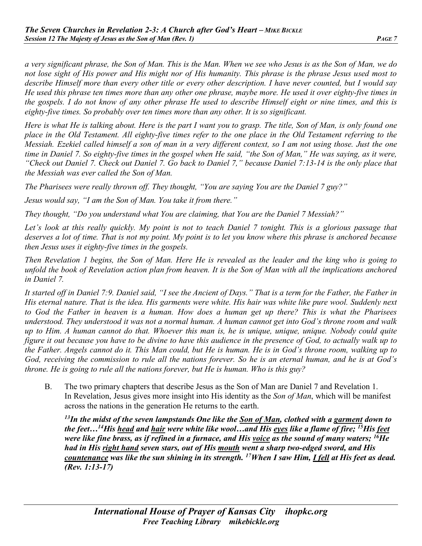*a very significant phrase, the Son of Man. This is the Man. When we see who Jesus is as the Son of Man, we do not lose sight of His power and His might nor of His humanity. This phrase is the phrase Jesus used most to describe Himself more than every other title or every other description. I have never counted, but I would say He used this phrase ten times more than any other one phrase, maybe more. He used it over eighty-five times in the gospels. I do not know of any other phrase He used to describe Himself eight or nine times, and this is eighty-five times. So probably over ten times more than any other. It is so significant.*

*Here is what He is talking about. Here is the part I want you to grasp. The title, Son of Man, is only found one place in the Old Testament. All eighty-five times refer to the one place in the Old Testament referring to the Messiah. Ezekiel called himself a son of man in a very different context, so I am not using those. Just the one time in Daniel 7. So eighty-five times in the gospel when He said, "the Son of Man," He was saying, as it were, "Check out Daniel 7. Check out Daniel 7. Go back to Daniel 7," because Daniel 7:13-14 is the only place that the Messiah was ever called the Son of Man.*

*The Pharisees were really thrown off. They thought, "You are saying You are the Daniel 7 guy?"*

*Jesus would say, "I am the Son of Man. You take it from there."*

*They thought, "Do you understand what You are claiming, that You are the Daniel 7 Messiah?"*

Let's look at this really *quickly. My point is not to teach Daniel 7 tonight. This is a glorious passage that deserves a lot of time. That is not my point. My point is to let you know where this phrase is anchored because then Jesus uses it eighty-five times in the gospels.* 

*Then Revelation 1 begins, the Son of Man. Here He is revealed as the leader and the king who is going to unfold the book of Revelation action plan from heaven. It is the Son of Man with all the implications anchored in Daniel 7.*

*It started off in Daniel 7:9. Daniel said, "I see the Ancient of Days." That is a term for the Father, the Father in His eternal nature. That is the idea. His garments were white. His hair was white like pure wool. Suddenly next to God the Father in heaven is a human. How does a human get up there? This is what the Pharisees understood. They understood it was not a normal human. A human cannot get into God's throne room and walk up to Him. A human cannot do that. Whoever this man is, he is unique, unique, unique. Nobody could quite figure it out because you have to be divine to have this audience in the presence of God, to actually walk up to the Father. Angels cannot do it. This Man could, but He is human. He is in God's throne room, walking up to God, receiving the commission to rule all the nations forever. So he is an eternal human, and he is at God's throne. He is going to rule all the nations forever, but He is human. Who is this guy?*

B. The two primary chapters that describe Jesus as the Son of Man are Daniel 7 and Revelation 1. In Revelation, Jesus gives more insight into His identity as the *Son of Man*, which will be manifest across the nations in the generation He returns to the earth.

*13In the midst of the seven lampstands One like the Son of Man, clothed with a garment down to the feet…14His head and hair were white like wool…and His eyes like a flame of fire; 15His feet were like fine brass, as if refined in a furnace, and His voice as the sound of many waters; 16He had in His right hand seven stars, out of His mouth went a sharp two-edged sword, and His countenance was like the sun shining in its strength. 17When I saw Him, I fell at His feet as dead. (Rev. 1:13-17)*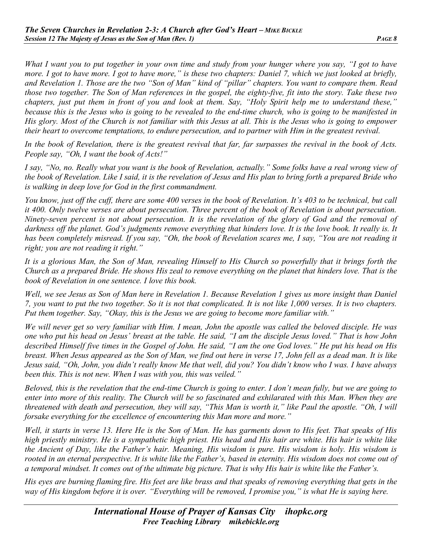*What I want you to put together in your own time and study from your hunger where you say, "I got to have more. I got to have more. I got to have more," is these two chapters: Daniel 7, which we just looked at briefly, and Revelation 1. Those are the two "Son of Man" kind of "pillar" chapters. You want to compare them. Read those two together. The Son of Man references in the gospel, the eighty-five, fit into the story. Take these two chapters, just put them in front of you and look at them. Say, "Holy Spirit help me to understand these," because this is the Jesus who is going to be revealed to the end-time church, who is going to be manifested in His glory. Most of the Church is not familiar with this Jesus at all. This is the Jesus who is going to empower their heart to overcome temptations, to endure persecution, and to partner with Him in the greatest revival.*

*In the book of Revelation, there is the greatest revival that far, far surpasses the revival in the book of Acts. People say, "Oh, I want the book of Acts!"*

*I say, "No, no. Really what you want is the book of Revelation, actually." Some folks have a real wrong view of the book of Revelation. Like I said, it is the revelation of Jesus and His plan to bring forth a prepared Bride who is walking in deep love for God in the first commandment.*

*You know, just off the cuff, there are some 400 verses in the book of Revelation. It's 403 to be technical, but call it 400. Only twelve verses are about persecution. Three percent of the book of Revelation is about persecution. Ninety-seven percent is not about persecution. It is the revelation of the glory of God and the removal of darkness off the planet. God's judgments remove everything that hinders love. It is the love book. It really is. It has been completely misread. If you say, "Oh, the book of Revelation scares me, I say, "You are not reading it right; you are not reading it right."*

*It is a glorious Man, the Son of Man, revealing Himself to His Church so powerfully that it brings forth the Church as a prepared Bride. He shows His zeal to remove everything on the planet that hinders love. That is the book of Revelation in one sentence. I love this book.*

*Well, we see Jesus as Son of Man here in Revelation 1. Because Revelation 1 gives us more insight than Daniel 7, you want to put the two together. So it is not that complicated. It is not like 1,000 verses. It is two chapters. Put them together. Say, "Okay, this is the Jesus we are going to become more familiar with."*

*We will never get so very familiar with Him. I mean, John the apostle was called the beloved disciple. He was one who put his head on Jesus' breast at the table. He said, "I am the disciple Jesus loved." That is how John described Himself five times in the Gospel of John. He said, "I am the one God loves." He put his head on His breast. When Jesus appeared as the Son of Man, we find out here in verse 17, John fell as a dead man. It is like Jesus said, "Oh, John, you didn't really know Me that well, did you? You didn't know who I was. I have always been this. This is not new. When I was with you, this was veiled."*

*Beloved, this is the revelation that the end-time Church is going to enter. I don't mean fully, but we are going to enter into more of this reality. The Church will be so fascinated and exhilarated with this Man. When they are threatened with death and persecution, they will say, "This Man is worth it," like Paul the apostle. "Oh, I will forsake everything for the excellence of encountering this Man more and more."*

*Well, it starts in verse 13. Here He is the Son of Man. He has garments down to His feet. That speaks of His high priestly ministry. He is a sympathetic high priest. His head and His hair are white. His hair is white like the Ancient of Day, like the Father's hair. Meaning, His wisdom is pure. His wisdom is holy. His wisdom is rooted in an eternal perspective. It is white like the Father's, based in eternity. His wisdom does not come out of a temporal mindset. It comes out of the ultimate big picture. That is why His hair is white like the Father's.*

*His eyes are burning flaming fire. His feet are like brass and that speaks of removing everything that gets in the way of His kingdom before it is over. "Everything will be removed, I promise you," is what He is saying here.*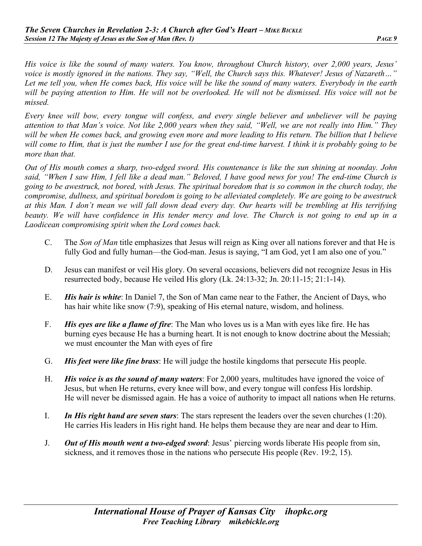*His voice is like the sound of many waters. You know, throughout Church history, over 2,000 years, Jesus' voice is mostly ignored in the nations. They say, "Well, the Church says this. Whatever! Jesus of Nazareth…" Let me tell you, when He comes back, His voice will be like the sound of many waters. Everybody in the earth will be paying attention to Him. He will not be overlooked. He will not be dismissed. His voice will not be missed.*

*Every knee will bow, every tongue will confess, and every single believer and unbeliever will be paying attention to that Man's voice. Not like 2,000 years when they said, "Well, we are not really into Him." They will be when He comes back, and growing even more and more leading to His return. The billion that I believe will come to Him, that is just the number I use for the great end-time harvest. I think it is probably going to be more than that.* 

*Out of His mouth comes a sharp, two-edged sword. His countenance is like the sun shining at noonday. John said, "When I saw Him, I fell like a dead man." Beloved, I have good news for you! The end-time Church is going to be awestruck, not bored, with Jesus. The spiritual boredom that is so common in the church today, the compromise, dullness, and spiritual boredom is going to be alleviated completely. We are going to be awestruck at this Man. I don't mean we will fall down dead every day. Our hearts will be trembling at His terrifying beauty. We will have confidence in His tender mercy and love. The Church is not going to end up in a Laodicean compromising spirit when the Lord comes back.*

- C. The *Son of Man* title emphasizes that Jesus will reign as King over all nations forever and that He is fully God and fully human—the God-man. Jesus is saying, "I am God, yet I am also one of you."
- D. Jesus can manifest or veil His glory. On several occasions, believers did not recognize Jesus in His resurrected body, because He veiled His glory (Lk. 24:13-32; Jn. 20:11-15; 21:1-14).
- E. *His hair is white*: In Daniel 7, the Son of Man came near to the Father, the Ancient of Days, who has hair white like snow (7:9), speaking of His eternal nature, wisdom, and holiness.
- F. *His eyes are like a flame of fire*: The Man who loves us is a Man with eyes like fire. He has burning eyes because He has a burning heart. It is not enough to know doctrine about the Messiah; we must encounter the Man with eyes of fire
- G. *His feet were like fine brass*: He will judge the hostile kingdoms that persecute His people.
- H. *His voice is as the sound of many waters*: For 2,000 years, multitudes have ignored the voice of Jesus, but when He returns, every knee will bow, and every tongue will confess His lordship. He will never be dismissed again. He has a voice of authority to impact all nations when He returns.
- I. *In His right hand are seven stars*: The stars represent the leaders over the seven churches (1:20). He carries His leaders in His right hand. He helps them because they are near and dear to Him.
- J. *Out of His mouth went a two-edged sword*: Jesus' piercing words liberate His people from sin, sickness, and it removes those in the nations who persecute His people (Rev. 19:2, 15).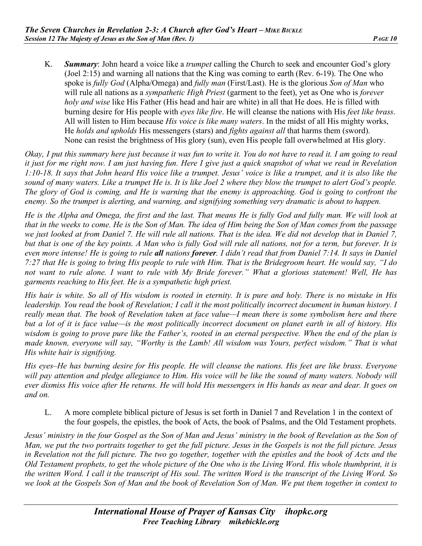K. *Summary*: John heard a voice like a *trumpet* calling the Church to seek and encounter God's glory (Joel 2:15) and warning all nations that the King was coming to earth (Rev. 6-19). The One who spoke is *fully God* (Alpha/Omega) and *fully man* (First/Last). He is the glorious *Son of Man* who will rule all nations as a *sympathetic High Priest* (garment to the feet), yet as One who is *forever holy and wise* like His Father (His head and hair are white) in all that He does. He is filled with burning desire for His people with *eyes like fire*. He will cleanse the nations with His *feet like brass*. All will listen to Him because *His voice is like many waters*. In the midst of all His mighty works, He *holds and upholds* His messengers (stars) and *fights against all* that harms them (sword). None can resist the brightness of His glory (sun), even His people fall overwhelmed at His glory.

*Okay, I put this summary here just because it was fun to write it. You do not have to read it. I am going to read it just for me right now. I am just having fun. Here I give just a quick snapshot of what we read in Revelation 1:10-18. It says that John heard His voice like a trumpet. Jesus' voice is like a trumpet, and it is also like the sound of many waters. Like a trumpet He is. It is like Joel 2 where they blow the trumpet to alert God's people. The glory of God is coming, and He is warning that the enemy is approaching. God is going to confront the enemy. So the trumpet is alerting, and warning, and signifying something very dramatic is about to happen.*

*He is the Alpha and Omega, the first and the last. That means He is fully God and fully man. We will look at that in the weeks to come. He is the Son of Man. The idea of Him being the Son of Man comes from the passage we just looked at from Daniel 7. He will rule all nations. That is the idea. We did not develop that in Daniel 7, but that is one of the key points. A Man who is fully God will rule all nations, not for a term, but forever. It is even more intense! He is going to rule all nations forever. I didn't read that from Daniel 7:14. It says in Daniel 7:27 that He is going to bring His people to rule with Him. That is the Bridegroom heart. He would say, "I do not want to rule alone. I want to rule with My Bride forever." What a glorious statement! Well, He has garments reaching to His feet. He is a sympathetic high priest.*

*His hair is white. So all of His wisdom is rooted in eternity. It is pure and holy. There is no mistake in His leadership. You read the book of Revelation; I call it the most politically incorrect document in human history. I really mean that. The book of Revelation taken at face value—I mean there is some symbolism here and there but a lot of it is face value—is the most politically incorrect document on planet earth in all of history. His wisdom is going to prove pure like the Father's, rooted in an eternal perspective. When the end of the plan is made known, everyone will say, "Worthy is the Lamb! All wisdom was Yours, perfect wisdom." That is what His white hair is signifying.*

*His eyes–He has burning desire for His people. He will cleanse the nations. His feet are like brass. Everyone*  will pay attention and pledge allegiance to Him. His voice will be like the sound of many waters. Nobody will *ever dismiss His voice after He returns. He will hold His messengers in His hands as near and dear. It goes on and on.*

L. A more complete biblical picture of Jesus is set forth in Daniel 7 and Revelation 1 in the context of the four gospels, the epistles, the book of Acts, the book of Psalms, and the Old Testament prophets.

*Jesus' ministry in the four Gospel as the Son of Man and Jesus' ministry in the book of Revelation as the Son of Man, we put the two portraits together to get the full picture. Jesus in the Gospels is not the full picture. Jesus in Revelation not the full picture. The two go together, together with the epistles and the book of Acts and the Old Testament prophets, to get the whole picture of the One who is the Living Word. His whole thumbprint, it is the written Word. I call it the transcript of His soul. The written Word is the transcript of the Living Word. So we look at the Gospels Son of Man and the book of Revelation Son of Man. We put them together in context to*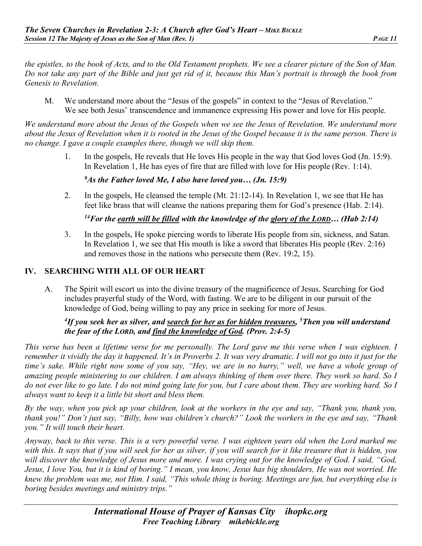*the epistles, to the book of Acts, and to the Old Testament prophets. We see a clearer picture of the Son of Man. Do not take any part of the Bible and just get rid of it, because this Man's portrait is through the book from Genesis to Revelation.*

M. We understand more about the "Jesus of the gospels" in context to the "Jesus of Revelation." We see both Jesus' transcendence and immanence expressing His power and love for His people.

*We understand more about the Jesus of the Gospels when we see the Jesus of Revelation. We understand more about the Jesus of Revelation when it is rooted in the Jesus of the Gospel because it is the same person. There is no change. I gave a couple examples there, though we will skip them.*

> 1. In the gospels, He reveals that He loves His people in the way that God loves God (Jn. 15:9). In Revelation 1, He has eyes of fire that are filled with love for His people (Rev. 1:14).

### *9As the Father loved Me, I also have loved you… (Jn. 15:9)*

2. In the gospels, He cleansed the temple (Mt. 21:12-14). In Revelation 1, we see that He has feet like brass that will cleanse the nations preparing them for God's presence (Hab. 2:14).

*14For the earth will be filled with the knowledge of the glory of the LORD… (Hab 2:14)* 

3. In the gospels, He spoke piercing words to liberate His people from sin, sickness, and Satan. In Revelation 1, we see that His mouth is like a sword that liberates His people (Rev. 2:16) and removes those in the nations who persecute them (Rev. 19:2, 15).

# **IV. SEARCHING WITH ALL OF OUR HEART**

A. The Spirit will escort us into the divine treasury of the magnificence of Jesus. Searching for God includes prayerful study of the Word, with fasting. We are to be diligent in our pursuit of the knowledge of God, being willing to pay any price in seeking for more of Jesus.

# *4 If you seek her as silver, and search for her as for hidden treasures, 5Then you will understand the fear of the LORD, and find the knowledge of God. (Prov. 2:4-5)*

*This verse has been a lifetime verse for me personally. The Lord gave me this verse when I was eighteen. I remember it vividly the day it happened. It's in Proverbs 2. It was very dramatic. I will not go into it just for the time's sake. While right now some of you say, "Hey, we are in no hurry," well, we have a whole group of amazing people ministering to our children. I am always thinking of them over there. They work so hard. So I do not ever like to go late. I do not mind going late for you, but I care about them. They are working hard. So I always want to keep it a little bit short and bless them.*

*By the way, when you pick up your children, look at the workers in the eye and say, "Thank you, thank you, thank you!" Don't just say, "Billy, how was children's church?" Look the workers in the eye and say, "Thank you." It will touch their heart.*

*Anyway, back to this verse. This is a very powerful verse. I was eighteen years old when the Lord marked me with this. It says that if you will seek for her as silver, if you will search for it like treasure that is hidden, you will discover the knowledge of Jesus more and more. I was crying out for the knowledge of God. I said, "God, Jesus, I love You, but it is kind of boring." I mean, you know, Jesus has big shoulders, He was not worried. He knew the problem was me, not Him. I said, "This whole thing is boring. Meetings are fun, but everything else is boring besides meetings and ministry trips."*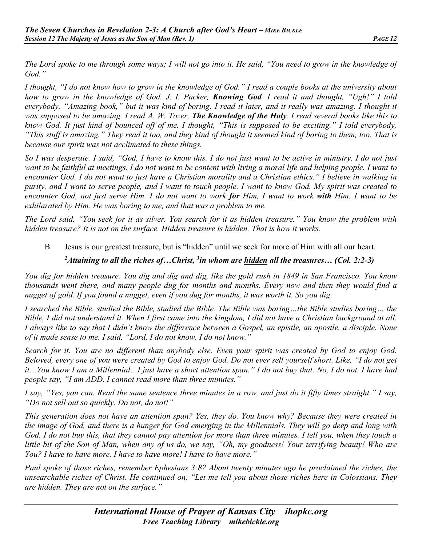*The Lord spoke to me through some ways; I will not go into it. He said, "You need to grow in the knowledge of God."*

*I thought, "I do not know how to grow in the knowledge of God." I read a couple books at the university about how to grow in the knowledge of God. J. I. Packer, Knowing God. I read it and thought, "Ugh!" I told everybody, "Amazing book," but it was kind of boring. I read it later, and it really was amazing. I thought it was supposed to be amazing. I read A. W. Tozer, The Knowledge of the Holy. I read several books like this to know God. It just kind of bounced off of me. I thought, "This is supposed to be exciting." I told everybody, "This stuff is amazing." They read it too, and they kind of thought it seemed kind of boring to them, too. That is because our spirit was not acclimated to these things.*

*So I was desperate. I said, "God, I have to know this. I do not just want to be active in ministry. I do not just*  want to be faithful at meetings. I do not want to be content with living a moral life and helping people. I want to *encounter God. I do not want to just have a Christian morality and a Christian ethics." I believe in walking in purity, and I want to serve people, and I want to touch people. I want to know God. My spirit was created to encounter God, not just serve Him. I do not want to work for Him, I want to work with Him. I want to be exhilarated by Him. He was boring to me, and that was a problem to me.*

*The Lord said, "You seek for it as silver. You search for it as hidden treasure." You know the problem with hidden treasure? It is not on the surface. Hidden treasure is hidden. That is how it works.* 

B. Jesus is our greatest treasure, but is "hidden" until we seek for more of Him with all our heart.

# *2 Attaining to all the riches of…Christ, 3 in whom are hidden all the treasures… (Col. 2:2-3)*

*You dig for hidden treasure. You dig and dig and dig, like the gold rush in 1849 in San Francisco. You know thousands went there, and many people dug for months and months. Every now and then they would find a nugget of gold. If you found a nugget, even if you dug for months, it was worth it. So you dig.* 

*I searched the Bible, studied the Bible, studied the Bible. The Bible was boring…the Bible studies boring… the Bible, I did not understand it. When I first came into the kingdom, I did not have a Christian background at all. I always like to say that I didn't know the difference between a Gospel, an epistle, an apostle, a disciple. None of it made sense to me. I said, "Lord, I do not know. I do not know."*

*Search for it. You are no different than anybody else. Even your spirit was created by God to enjoy God. Beloved, every one of you were created by God to enjoy God. Do not ever sell yourself short. Like, "I do not get it…You know I am a Millennial…I just have a short attention span." I do not buy that. No, I do not. I have had people say, "I am ADD. I cannot read more than three minutes."*

*I say, "Yes, you can. Read the same sentence three minutes in a row, and just do it fifty times straight." I say, "Do not sell out so quickly. Do not, do not!"*

*This generation does not have an attention span? Yes, they do. You know why? Because they were created in the image of God, and there is a hunger for God emerging in the Millennials. They will go deep and long with God. I do not buy this, that they cannot pay attention for more than three minutes. I tell you, when they touch a little bit of the Son of Man, when any of us do, we say, "Oh, my goodness! Your terrifying beauty! Who are You? I have to have more. I have to have more! I have to have more."*

*Paul spoke of those riches, remember Ephesians 3:8? About twenty minutes ago he proclaimed the riches, the unsearchable riches of Christ. He continued on, "Let me tell you about those riches here in Colossians. They are hidden. They are not on the surface."*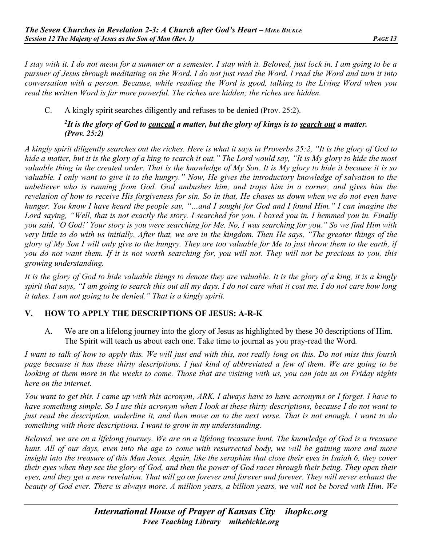*I stay with it. I do not mean for a summer or a semester. I stay with it. Beloved, just lock in. I am going to be a pursuer of Jesus through meditating on the Word. I do not just read the Word. I read the Word and turn it into conversation with a person. Because, while reading the Word is good, talking to the Living Word when you read the written Word is far more powerful. The riches are hidden; the riches are hidden.*

C. A kingly spirit searches diligently and refuses to be denied (Prov. 25:2).

### *2 It is the glory of God to conceal a matter, but the glory of kings is to search out a matter. (Prov. 25:2)*

*A kingly spirit diligently searches out the riches. Here is what it says in Proverbs 25:2, "It is the glory of God to hide a matter, but it is the glory of a king to search it out." The Lord would say, "It is My glory to hide the most valuable thing in the created order. That is the knowledge of My Son. It is My glory to hide it because it is so valuable. I only want to give it to the hungry." Now, He gives the introductory knowledge of salvation to the unbeliever who is running from God. God ambushes him, and traps him in a corner, and gives him the revelation of how to receive His forgiveness for sin. So in that, He chases us down when we do not even have hunger. You know I have heard the people say, "…and I sought for God and I found Him." I can imagine the Lord saying, "Well, that is not exactly the story. I searched for you. I boxed you in. I hemmed you in. Finally you said, 'O God!' Your story is you were searching for Me. No, I was searching for you." So we find Him with very little to do with us initially. After that, we are in the kingdom. Then He says, "The greater things of the glory of My Son I will only give to the hungry. They are too valuable for Me to just throw them to the earth, if you do not want them. If it is not worth searching for, you will not. They will not be precious to you, this growing understanding.*

*It is the glory of God to hide valuable things to denote they are valuable. It is the glory of a king, it is a kingly spirit that says, "I am going to search this out all my days. I do not care what it cost me. I do not care how long it takes. I am not going to be denied." That is a kingly spirit.*

# **V. HOW TO APPLY THE DESCRIPTIONS OF JESUS: A-R-K**

A. We are on a lifelong journey into the glory of Jesus as highlighted by these 30 descriptions of Him. The Spirit will teach us about each one. Take time to journal as you pray-read the Word.

*I want to talk of how to apply this. We will just end with this, not really long on this. Do not miss this fourth page because it has these thirty descriptions. I just kind of abbreviated a few of them. We are going to be looking at them more in the weeks to come. Those that are visiting with us, you can join us on Friday nights here on the internet.*

*You want to get this. I came up with this acronym, ARK. I always have to have acronyms or I forget. I have to have something simple. So I use this acronym when I look at these thirty descriptions, because I do not want to just read the description, underline it, and then move on to the next verse. That is not enough. I want to do something with those descriptions. I want to grow in my understanding.* 

*Beloved, we are on a lifelong journey. We are on a lifelong treasure hunt. The knowledge of God is a treasure hunt. All of our days, even into the age to come with resurrected body, we will be gaining more and more insight into the treasure of this Man Jesus. Again, like the seraphim that close their eyes in Isaiah 6, they cover their eyes when they see the glory of God, and then the power of God races through their being. They open their eyes, and they get a new revelation. That will go on forever and forever and forever. They will never exhaust the beauty of God ever. There is always more. A million years, a billion years, we will not be bored with Him. We*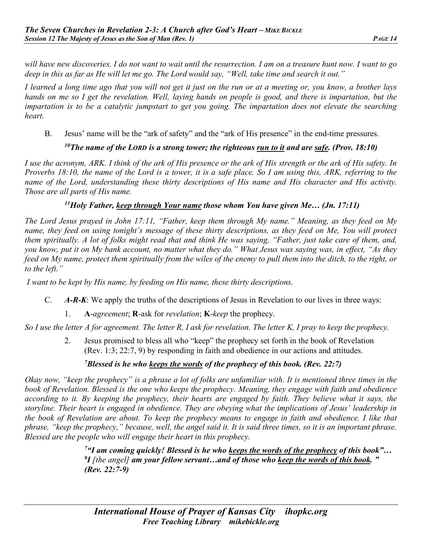*will have new discoveries. I do not want to wait until the resurrection. I am on a treasure hunt now. I want to go deep in this as far as He will let me go. The Lord would say, "Well, take time and search it out."*

*I learned a long time ago that you will not get it just on the run or at a meeting or, you know, a brother lays hands on me so I get the revelation. Well, laying hands on people is good, and there is impartation, but the impartation is to be a catalytic jumpstart to get you going. The impartation does not elevate the searching heart.* 

B. Jesus' name will be the "ark of safety" and the "ark of His presence" in the end-time pressures.

# *10The name of the LORD is a strong tower; the righteous run to it and are safe. (Prov. 18:10)*

*I use the acronym, ARK. I think of the ark of His presence or the ark of His strength or the ark of His safety. In Proverbs 18:10, the name of the Lord is a tower, it is a safe place. So I am using this, ARK, referring to the name of the Lord, understanding these thirty descriptions of His name and His character and His activity. Those are all parts of His name.*

# *11Holy Father, keep through Your name those whom You have given Me… (Jn. 17:11)*

*The Lord Jesus prayed in John 17:11, "Father, keep them through My name." Meaning, as they feed on My name, they feed on using tonight's message of these thirty descriptions, as they feed on Me, You will protect them spiritually. A lot of folks might read that and think He was saying, "Father, just take care of them, and, you know, put it on My bank account, no matter what they do." What Jesus was saying was, in effect, "As they feed on My name, protect them spiritually from the wiles of the enemy to pull them into the ditch, to the right, or to the left."*

*I want to be kept by His name, by feeding on His name, these thirty descriptions.*

- C. *A-R-K*: We apply the truths of the descriptions of Jesus in Revelation to our lives in three ways:
	- 1. **A**-*agreement*; **R**-ask for *revelation*; **K**-*keep* the prophecy.

*So I use the letter A for agreement. The letter R, I ask for revelation. The letter K, I pray to keep the prophecy.* 

2. Jesus promised to bless all who "keep" the prophecy set forth in the book of Revelation (Rev. 1:3; 22:7, 9) by responding in faith and obedience in our actions and attitudes.

# *7 Blessed is he who keeps the words of the prophecy of this book. (Rev. 22:7)*

*Okay now, "keep the prophecy" is a phrase a lot of folks are unfamiliar with. It is mentioned three times in the book of Revelation. Blessed is the one who keeps the prophecy. Meaning, they engage with faith and obedience according to it. By keeping the prophecy, their hearts are engaged by faith. They believe what it says, the storyline. Their heart is engaged in obedience. They are obeying what the implications of Jesus' leadership in the book of Revelation are about. To keep the prophecy means to engage in faith and obedience. I like that phrase, "keep the prophecy," because, well, the angel said it. It is said three times, so it is an important phrase. Blessed are the people who will engage their heart in this prophecy.*

> *7"I am coming quickly! Blessed is he who keeps the words of the prophecy of this book"… 9 I [the angel] am your fellow servant…and of those who keep the words of this book. " (Rev. 22:7-9)*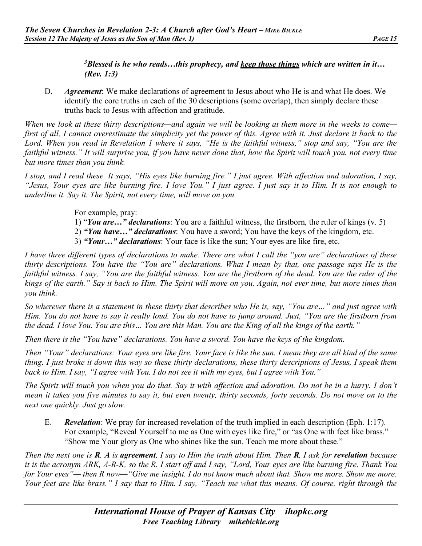*3Blessed is he who reads…this prophecy, and keep those things which are written in it… (Rev. 1:3)* 

D. *Agreement*: We make declarations of agreement to Jesus about who He is and what He does. We identify the core truths in each of the 30 descriptions (some overlap), then simply declare these truths back to Jesus with affection and gratitude.

*When we look at these thirty descriptions—and again we will be looking at them more in the weeks to come first of all, I cannot overestimate the simplicity yet the power of this. Agree with it. Just declare it back to the Lord. When you read in Revelation 1 where it says, "He is the faithful witness," stop and say, "You are the faithful witness." It will surprise you, if you have never done that, how the Spirit will touch you. not every time but more times than you think.*

*I stop, and I read these. It says, "His eyes like burning fire." I just agree. With affection and adoration, I say, "Jesus, Your eyes are like burning fire. I love You." I just agree. I just say it to Him. It is not enough to underline it. Say it. The Spirit, not every time, will move on you.*

For example, pray:

- 1) "*You are…" declarations*: You are a faithful witness, the firstborn, the ruler of kings (v. 5)
- 2) *"You have…" declarations*: You have a sword; You have the keys of the kingdom, etc.
- 3) *"Your…" declarations*: Your face is like the sun; Your eyes are like fire, etc.

*I have three different types of declarations to make. There are what I call the "you are" declarations of these thirty descriptions. You have the "You are" declarations. What I mean by that, one passage says He is the faithful witness. I say, "You are the faithful witness. You are the firstborn of the dead. You are the ruler of the kings of the earth." Say it back to Him. The Spirit will move on you. Again, not ever time, but more times than you think.* 

*So wherever there is a statement in these thirty that describes who He is, say, "You are…" and just agree with Him. You do not have to say it really loud. You do not have to jump around. Just, "You are the firstborn from the dead. I love You. You are this… You are this Man. You are the King of all the kings of the earth."*

*Then there is the "You have" declarations. You have a sword. You have the keys of the kingdom.* 

*Then "Your" declarations: Your eyes are like fire. Your face is like the sun. I mean they are all kind of the same thing. I just broke it down this way so these thirty declarations, these thirty descriptions of Jesus, I speak them back to Him. I say, "I agree with You. I do not see it with my eyes, but I agree with You."*

*The Spirit will touch you when you do that. Say it with affection and adoration. Do not be in a hurry. I don't mean it takes you five minutes to say it, but even twenty, thirty seconds, forty seconds. Do not move on to the next one quickly. Just go slow.*

E. *Revelation*: We pray for increased revelation of the truth implied in each description (Eph. 1:17). For example, "Reveal Yourself to me as One with eyes like fire," or "as One with feet like brass." "Show me Your glory as One who shines like the sun. Teach me more about these."

*Then the next one is R. A is agreement, I say to Him the truth about Him. Then R, I ask for revelation because it is the acronym ARK, A-R-K, so the R. I start off and I say, "Lord, Your eyes are like burning fire. Thank You for Your eyes"— then R now—"Give me insight. I do not know much about that. Show me more. Show me more. Your feet are like brass." I say that to Him. I say, "Teach me what this means. Of course, right through the*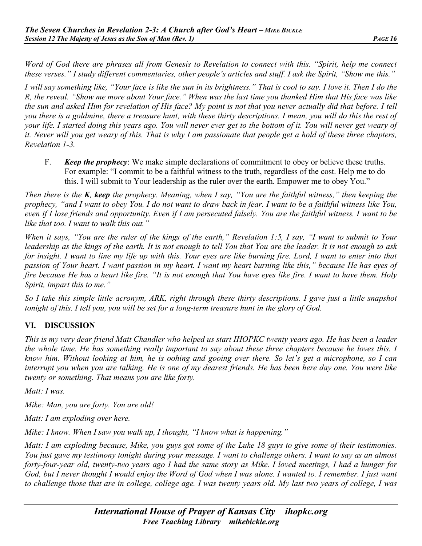*Word of God there are phrases all from Genesis to Revelation to connect with this. "Spirit, help me connect these verses." I study different commentaries, other people's articles and stuff. I ask the Spirit, "Show me this."*

*I will say something like, "Your face is like the sun in its brightness." That is cool to say. I love it. Then I do the R, the reveal. "Show me more about Your face." When was the last time you thanked Him that His face was like the sun and asked Him for revelation of His face? My point is not that you never actually did that before. I tell you there is a goldmine, there a treasure hunt, with these thirty descriptions. I mean, you will do this the rest of your life. I started doing this years ago. You will never ever get to the bottom of it. You will never get weary of it. Never will you get weary of this. That is why I am passionate that people get a hold of these three chapters, Revelation 1-3.*

F. *Keep the prophecy*: We make simple declarations of commitment to obey or believe these truths. For example: "I commit to be a faithful witness to the truth, regardless of the cost. Help me to do this. I will submit to Your leadership as the ruler over the earth. Empower me to obey You."

*Then there is the K, keep the prophecy. Meaning, when I say, "You are the faithful witness," then keeping the prophecy, "and I want to obey You. I do not want to draw back in fear. I want to be a faithful witness like You, even if I lose friends and opportunity. Even if I am persecuted falsely. You are the faithful witness. I want to be like that too. I want to walk this out."*

*When it says, "You are the ruler of the kings of the earth," Revelation 1:5, I say, "I want to submit to Your leadership as the kings of the earth. It is not enough to tell You that You are the leader. It is not enough to ask for insight. I want to line my life up with this. Your eyes are like burning fire. Lord, I want to enter into that passion of Your heart. I want passion in my heart. I want my heart burning like this," because He has eyes of fire because He has a heart like fire. "It is not enough that You have eyes like fire. I want to have them. Holy Spirit, impart this to me."*

*So I take this simple little acronym, ARK, right through these thirty descriptions. I gave just a little snapshot tonight of this. I tell you, you will be set for a long-term treasure hunt in the glory of God.*

# **VI. DISCUSSION**

*This is my very dear friend Matt Chandler who helped us start IHOPKC twenty years ago. He has been a leader the whole time. He has something really important to say about these three chapters because he loves this. I know him. Without looking at him, he is oohing and gooing over there. So let's get a microphone, so I can interrupt you when you are talking. He is one of my dearest friends. He has been here day one. You were like twenty or something. That means you are like forty.*

*Matt: I was.*

*Mike: Man, you are forty. You are old!*

*Matt: I am exploding over here.*

*Mike: I know. When I saw you walk up, I thought, "I know what is happening."*

*Matt: I am exploding because, Mike, you guys got some of the Luke 18 guys to give some of their testimonies. You just gave my testimony tonight during your message. I want to challenge others. I want to say as an almost forty-four-year old, twenty-two years ago I had the same story as Mike. I loved meetings, I had a hunger for God, but I never thought I would enjoy the Word of God when I was alone. I wanted to. I remember. I just want to challenge those that are in college, college age. I was twenty years old. My last two years of college, I was*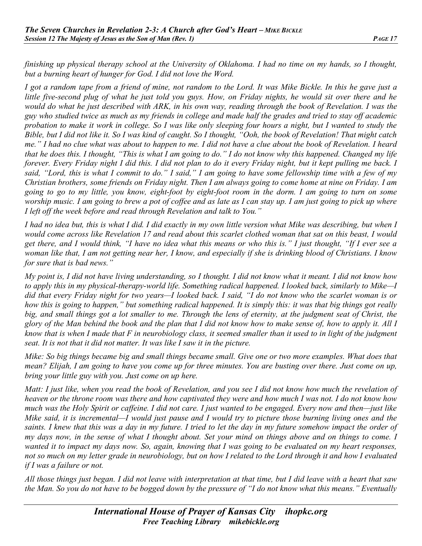*finishing up physical therapy school at the University of Oklahoma. I had no time on my hands, so I thought, but a burning heart of hunger for God. I did not love the Word.* 

*I got a random tape from a friend of mine, not random to the Lord. It was Mike Bickle. In this he gave just a little five-second plug of what he just told you guys. How, on Friday nights, he would sit over there and he would do what he just described with ARK, in his own way, reading through the book of Revelation. I was the guy who studied twice as much as my friends in college and made half the grades and tried to stay off academic probation to make it work in college. So I was like only sleeping four hours a night, but I wanted to study the Bible, but I did not like it. So I was kind of caught. So I thought, "Ooh, the book of Revelation! That might catch me." I had no clue what was about to happen to me. I did not have a clue about the book of Revelation. I heard that he does this. I thought, "This is what I am going to do." I do not know why this happened. Changed my life forever. Every Friday night I did this. I did not plan to do it every Friday night, but it kept pulling me back. I said, "Lord, this is what I commit to do." I said," I am going to have some fellowship time with a few of my Christian brothers, some friends on Friday night. Then I am always going to come home at nine on Friday. I am going to go to my little, you know, eight-foot by eight-foot room in the dorm. I am going to turn on some worship music. I am going to brew a pot of coffee and as late as I can stay up. I am just going to pick up where I left off the week before and read through Revelation and talk to You."*

*I had no idea but, this is what I did. I did exactly in my own little version what Mike was describing, but when I would come across like Revelation 17 and read about this scarlet clothed woman that sat on this beast, I would get there, and I would think, "I have no idea what this means or who this is." I just thought, "If I ever see a woman like that, I am not getting near her, I know, and especially if she is drinking blood of Christians. I know for sure that is bad news."*

*My point is, I did not have living understanding, so I thought. I did not know what it meant. I did not know how to apply this in my physical-therapy-world life. Something radical happened. I looked back, similarly to Mike—I did that every Friday night for two years—I looked back. I said, "I do not know who the scarlet woman is or how this is going to happen," but something radical happened. It is simply this: it was that big things got really big, and small things got a lot smaller to me. Through the lens of eternity, at the judgment seat of Christ, the glory of the Man behind the book and the plan that I did not know how to make sense of, how to apply it. All I know that is when I made that F in neurobiology class, it seemed smaller than it used to in light of the judgment seat. It is not that it did not matter. It was like I saw it in the picture.*

*Mike: So big things became big and small things became small. Give one or two more examples. What does that mean? Elijah, I am going to have you come up for three minutes. You are busting over there. Just come on up, bring your little guy with you. Just come on up here.*

*Matt: I just like, when you read the book of Revelation, and you see I did not know how much the revelation of heaven or the throne room was there and how captivated they were and how much I was not. I do not know how much was the Holy Spirit or caffeine. I did not care. I just wanted to be engaged. Every now and then—just like Mike said, it is incremental—I would just pause and I would try to picture those burning living ones and the*  saints. I knew that this was a day in my future. I tried to let the day in my future somehow impact the order of *my days now, in the sense of what I thought about. Set your mind on things above and on things to come. I wanted it to impact my days now. So, again, knowing that I was going to be evaluated on my heart responses, not so much on my letter grade in neurobiology, but on how I related to the Lord through it and how I evaluated if I was a failure or not.* 

*All those things just began. I did not leave with interpretation at that time, but I did leave with a heart that saw the Man. So you do not have to be bogged down by the pressure of "I do not know what this means." Eventually*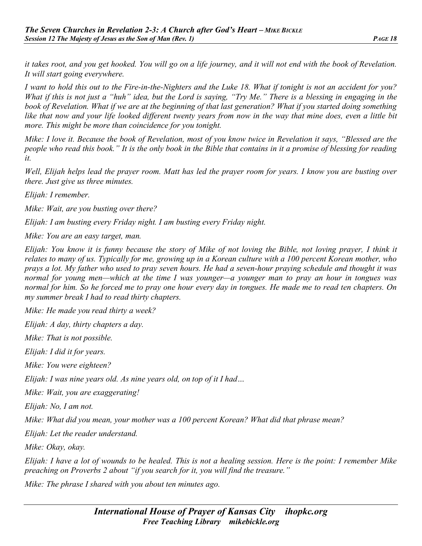*it takes root, and you get hooked. You will go on a life journey, and it will not end with the book of Revelation. It will start going everywhere.*

*I want to hold this out to the Fire-in-the-Nighters and the Luke 18. What if tonight is not an accident for you? What if this is not just a "huh" idea, but the Lord is saying, "Try Me." There is a blessing in engaging in the book of Revelation. What if we are at the beginning of that last generation? What if you started doing something like that now and your life looked different twenty years from now in the way that mine does, even a little bit more. This might be more than coincidence for you tonight.*

*Mike: I love it. Because the book of Revelation, most of you know twice in Revelation it says, "Blessed are the people who read this book." It is the only book in the Bible that contains in it a promise of blessing for reading it.* 

*Well, Elijah helps lead the prayer room. Matt has led the prayer room for years. I know you are busting over there. Just give us three minutes.*

*Elijah: I remember.*

*Mike: Wait, are you busting over there?*

*Elijah: I am busting every Friday night. I am busting every Friday night.*

*Mike: You are an easy target, man.*

*Elijah: You know it is funny because the story of Mike of not loving the Bible, not loving prayer, I think it relates to many of us. Typically for me, growing up in a Korean culture with a 100 percent Korean mother, who prays a lot. My father who used to pray seven hours. He had a seven-hour praying schedule and thought it was normal for young men—which at the time I was younger—a younger man to pray an hour in tongues was normal for him. So he forced me to pray one hour every day in tongues. He made me to read ten chapters. On my summer break I had to read thirty chapters.* 

*Mike: He made you read thirty a week?*

*Elijah: A day, thirty chapters a day.*

*Mike: That is not possible.* 

*Elijah: I did it for years.*

*Mike: You were eighteen?*

*Elijah: I was nine years old. As nine years old, on top of it I had…*

*Mike: Wait, you are exaggerating!*

*Elijah: No, I am not.* 

*Mike: What did you mean, your mother was a 100 percent Korean? What did that phrase mean?*

*Elijah: Let the reader understand.*

*Mike: Okay, okay.*

*Elijah: I have a lot of wounds to be healed. This is not a healing session. Here is the point: I remember Mike preaching on Proverbs 2 about "if you search for it, you will find the treasure."*

*Mike: The phrase I shared with you about ten minutes ago.*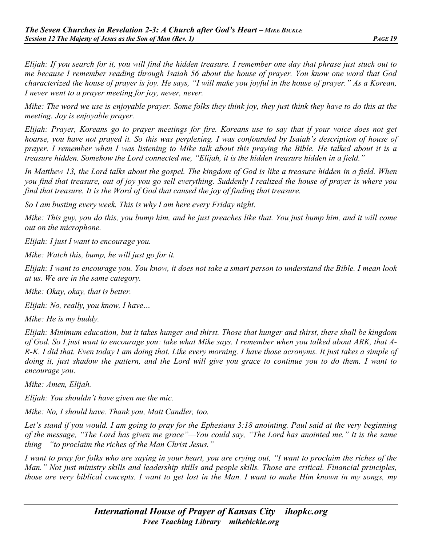*Elijah: If you search for it, you will find the hidden treasure. I remember one day that phrase just stuck out to me because I remember reading through Isaiah 56 about the house of prayer. You know one word that God characterized the house of prayer is joy. He says, "I will make you joyful in the house of prayer." As a Korean, I never went to a prayer meeting for joy, never, never.*

*Mike: The word we use is enjoyable prayer. Some folks they think joy, they just think they have to do this at the meeting. Joy is enjoyable prayer.*

*Elijah: Prayer, Koreans go to prayer meetings for fire. Koreans use to say that if your voice does not get hoarse, you have not prayed it. So this was perplexing. I was confounded by Isaiah's description of house of prayer. I remember when I was listening to Mike talk about this praying the Bible. He talked about it is a treasure hidden. Somehow the Lord connected me, "Elijah, it is the hidden treasure hidden in a field."*

*In Matthew 13, the Lord talks about the gospel. The kingdom of God is like a treasure hidden in a field. When you find that treasure, out of joy you go sell everything. Suddenly I realized the house of prayer is where you find that treasure. It is the Word of God that caused the joy of finding that treasure.*

*So I am busting every week. This is why I am here every Friday night.*

*Mike: This guy, you do this, you bump him, and he just preaches like that. You just bump him, and it will come out on the microphone.*

*Elijah: I just I want to encourage you.*

*Mike: Watch this, bump, he will just go for it.*

*Elijah: I want to encourage you. You know, it does not take a smart person to understand the Bible. I mean look at us. We are in the same category.*

*Mike: Okay, okay, that is better.*

*Elijah: No, really, you know, I have…*

*Mike: He is my buddy.*

*Elijah: Minimum education, but it takes hunger and thirst. Those that hunger and thirst, there shall be kingdom of God. So I just want to encourage you: take what Mike says. I remember when you talked about ARK, that A-R-K. I did that. Even today I am doing that. Like every morning. I have those acronyms. It just takes a simple of doing it, just shadow the pattern, and the Lord will give you grace to continue you to do them. I want to encourage you.*

*Mike: Amen, Elijah.*

*Elijah: You shouldn't have given me the mic.*

*Mike: No, I should have. Thank you, Matt Candler, too.* 

*Let's stand if you would. I am going to pray for the Ephesians 3:18 anointing. Paul said at the very beginning of the message, "The Lord has given me grace"—You could say, "The Lord has anointed me." It is the same thing—"to proclaim the riches of the Man Christ Jesus."*

*I want to pray for folks who are saying in your heart, you are crying out, "I want to proclaim the riches of the Man." Not just ministry skills and leadership skills and people skills. Those are critical. Financial principles, those are very biblical concepts. I want to get lost in the Man. I want to make Him known in my songs, my*